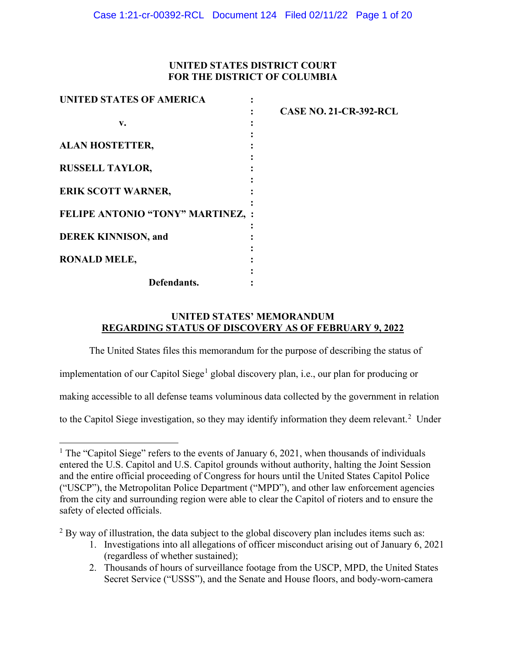# **UNITED STATES DISTRICT COURT FOR THE DISTRICT OF COLUMBIA**

| UNITED STATES OF AMERICA          |                               |
|-----------------------------------|-------------------------------|
|                                   | <b>CASE NO. 21-CR-392-RCL</b> |
| v.                                |                               |
|                                   |                               |
| <b>ALAN HOSTETTER,</b>            |                               |
|                                   |                               |
| <b>RUSSELL TAYLOR,</b>            |                               |
|                                   |                               |
| <b>ERIK SCOTT WARNER,</b>         |                               |
|                                   |                               |
| FELIPE ANTONIO "TONY" MARTINEZ, : |                               |
|                                   |                               |
| <b>DEREK KINNISON, and</b>        |                               |
|                                   |                               |
| <b>RONALD MELE,</b>               |                               |
|                                   |                               |
| Defendants.                       |                               |

# **UNITED STATES' MEMORANDUM REGARDING STATUS OF DISCOVERY AS OF FEBRUARY 9, 2022**

The United States files this memorandum for the purpose of describing the status of

implementation of our Capitol Siege<sup>[1](#page-0-0)</sup> global discovery plan, i.e., our plan for producing or

making accessible to all defense teams voluminous data collected by the government in relation

to the Capitol Siege investigation, so they may identify information they deem relevant.<sup>[2](#page-0-1)</sup> Under

<span id="page-0-0"></span><sup>&</sup>lt;sup>1</sup> The "Capitol Siege" refers to the events of January 6, 2021, when thousands of individuals entered the U.S. Capitol and U.S. Capitol grounds without authority, halting the Joint Session and the entire official proceeding of Congress for hours until the United States Capitol Police ("USCP"), the Metropolitan Police Department ("MPD"), and other law enforcement agencies from the city and surrounding region were able to clear the Capitol of rioters and to ensure the safety of elected officials.

<span id="page-0-1"></span> $2$  By way of illustration, the data subject to the global discovery plan includes items such as:

<sup>1.</sup> Investigations into all allegations of officer misconduct arising out of January 6, 2021 (regardless of whether sustained);

<sup>2.</sup> Thousands of hours of surveillance footage from the USCP, MPD, the United States Secret Service ("USSS"), and the Senate and House floors, and body-worn-camera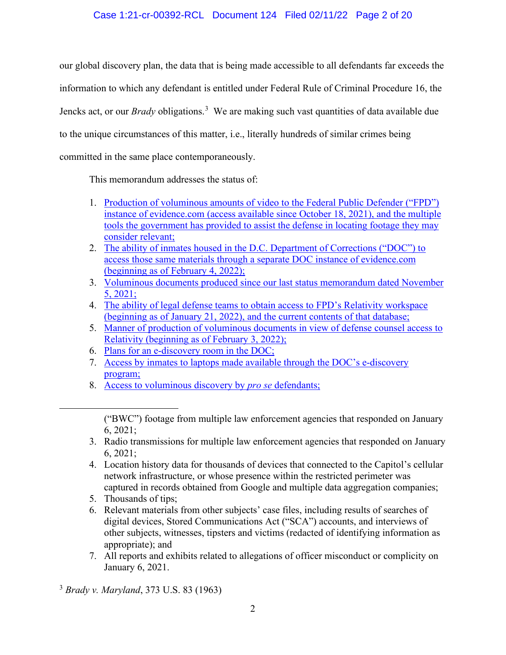# Case 1:21-cr-00392-RCL Document 124 Filed 02/11/22 Page 2 of 20

our global discovery plan, the data that is being made accessible to all defendants far exceeds the information to which any defendant is entitled under Federal Rule of Criminal Procedure 16, the Jencks act, or our *Brady* obligations.[3](#page-1-0) We are making such vast quantities of data available due to the unique circumstances of this matter, i.e., literally hundreds of similar crimes being committed in the same place contemporaneously.

This memorandum addresses the status of:

- 1. [Production of voluminous amounts of video to](#page-2-0) the Federal Public Defender ("FPD") [instance of evidence.com \(access available since October 18, 2021\), and the multiple](#page-2-0)  [tools the government has provided to assist the defense in locating footage they may](#page-2-0)  [consider relevant;](#page-2-0)
- 2. [The ability of inmates housed in the D.C. Department of Corrections \("DOC"\) to](#page-3-0)  [access those same materials through a separate DOC instance of evidence.com](#page-3-0)  (beginning [as of February 4, 2022\);](#page-3-0)
- 3. [Voluminous documents produced since our last](#page-4-0) status memorandum dated November [5, 2021;](#page-4-0)
- 4. [The ability of legal defense teams to obtain access to FPD's](#page-5-0) Relativity workspace [\(beginning as of January 21, 2022\), and the current contents of that database;](#page-5-0)
- 5. [Manner of production of voluminous documents in view of](#page-5-1) defense counsel access to [Relativity \(beginning as of February 3, 2022\);](#page-5-1)
- 6. [Plans for an e-discovery room in the DOC;](#page-9-0)
- 7. [Access by inmates to laptops made available through the DOC's e-discovery](#page-11-0)  [program;](#page-11-0)
- 8. [Access to voluminous discovery by](#page-11-1) *pro se* defendants;

- 3. Radio transmissions for multiple law enforcement agencies that responded on January 6, 2021;
- 4. Location history data for thousands of devices that connected to the Capitol's cellular network infrastructure, or whose presence within the restricted perimeter was captured in records obtained from Google and multiple data aggregation companies;
- 5. Thousands of tips;
- 6. Relevant materials from other subjects' case files, including results of searches of digital devices, Stored Communications Act ("SCA") accounts, and interviews of other subjects, witnesses, tipsters and victims (redacted of identifying information as appropriate); and
- 7. All reports and exhibits related to allegations of officer misconduct or complicity on January 6, 2021.

<span id="page-1-0"></span><sup>3</sup> *Brady v. Maryland*, 373 U.S. 83 (1963)

<sup>(&</sup>quot;BWC") footage from multiple law enforcement agencies that responded on January 6, 2021;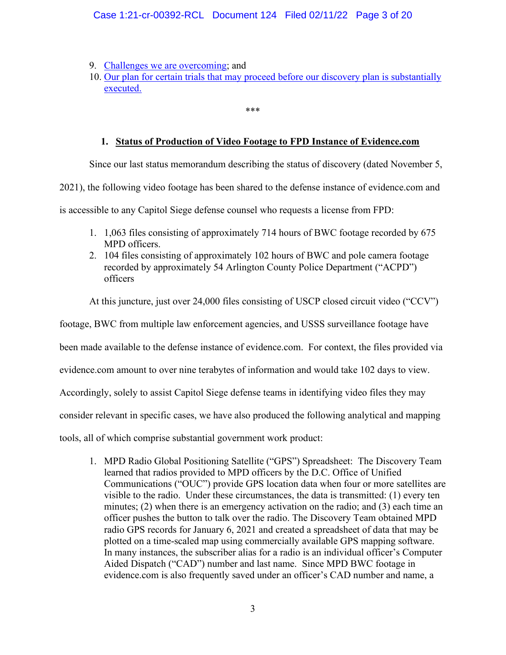# Case 1:21-cr-00392-RCL Document 124 Filed 02/11/22 Page 3 of 20

- 9. [Challenges we are overcoming;](#page-12-0) and
- 10. Our plan for certain [trials that may proceed before our discovery plan is substantially](#page-14-0) [executed.](#page-14-0)

# **1. Status of Production of Video Footage to FPD Instance of Evidence.com**

\*\*\*

<span id="page-2-0"></span>Since our last status memorandum describing the status of discovery (dated November 5,

2021), the following video footage has been shared to the defense instance of evidence.com and

is accessible to any Capitol Siege defense counsel who requests a license from FPD:

- 1. 1,063 files consisting of approximately 714 hours of BWC footage recorded by 675 MPD officers.
- 2. 104 files consisting of approximately 102 hours of BWC and pole camera footage recorded by approximately 54 Arlington County Police Department ("ACPD") officers

At this juncture, just over 24,000 files consisting of USCP closed circuit video ("CCV")

footage, BWC from multiple law enforcement agencies, and USSS surveillance footage have

been made available to the defense instance of evidence.com. For context, the files provided via

evidence.com amount to over nine terabytes of information and would take 102 days to view.

Accordingly, solely to assist Capitol Siege defense teams in identifying video files they may

consider relevant in specific cases, we have also produced the following analytical and mapping

tools, all of which comprise substantial government work product:

1. MPD Radio Global Positioning Satellite ("GPS") Spreadsheet: The Discovery Team learned that radios provided to MPD officers by the D.C. Office of Unified Communications ("OUC") provide GPS location data when four or more satellites are visible to the radio. Under these circumstances, the data is transmitted: (1) every ten minutes; (2) when there is an emergency activation on the radio; and (3) each time an officer pushes the button to talk over the radio. The Discovery Team obtained MPD radio GPS records for January 6, 2021 and created a spreadsheet of data that may be plotted on a time-scaled map using commercially available GPS mapping software. In many instances, the subscriber alias for a radio is an individual officer's Computer Aided Dispatch ("CAD") number and last name. Since MPD BWC footage in evidence.com is also frequently saved under an officer's CAD number and name, a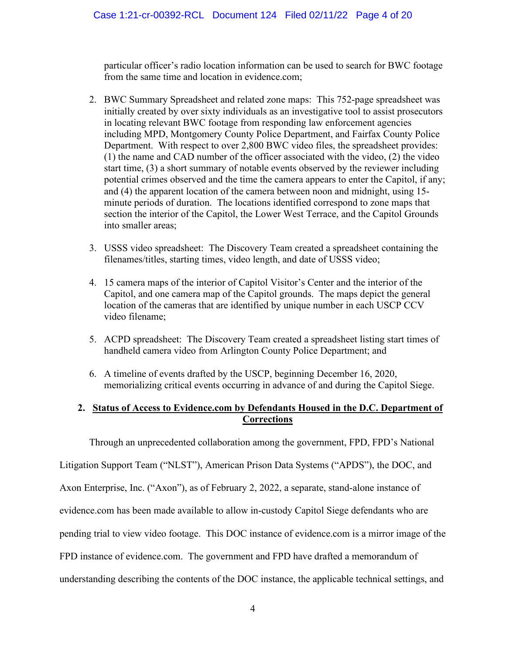particular officer's radio location information can be used to search for BWC footage from the same time and location in evidence.com;

- 2. BWC Summary Spreadsheet and related zone maps: This 752-page spreadsheet was initially created by over sixty individuals as an investigative tool to assist prosecutors in locating relevant BWC footage from responding law enforcement agencies including MPD, Montgomery County Police Department, and Fairfax County Police Department. With respect to over 2,800 BWC video files, the spreadsheet provides: (1) the name and CAD number of the officer associated with the video, (2) the video start time, (3) a short summary of notable events observed by the reviewer including potential crimes observed and the time the camera appears to enter the Capitol, if any; and (4) the apparent location of the camera between noon and midnight, using 15 minute periods of duration. The locations identified correspond to zone maps that section the interior of the Capitol, the Lower West Terrace, and the Capitol Grounds into smaller areas;
- 3. USSS video spreadsheet: The Discovery Team created a spreadsheet containing the filenames/titles, starting times, video length, and date of USSS video;
- 4. 15 camera maps of the interior of Capitol Visitor's Center and the interior of the Capitol, and one camera map of the Capitol grounds. The maps depict the general location of the cameras that are identified by unique number in each USCP CCV video filename;
- 5. ACPD spreadsheet: The Discovery Team created a spreadsheet listing start times of handheld camera video from Arlington County Police Department; and
- 6. A timeline of events drafted by the USCP, beginning December 16, 2020, memorializing critical events occurring in advance of and during the Capitol Siege.

# <span id="page-3-0"></span>**2. Status of Access to Evidence.com by Defendants Housed in the D.C. Department of Corrections**

Through an unprecedented collaboration among the government, FPD, FPD's National

Litigation Support Team ("NLST"), American Prison Data Systems ("APDS"), the DOC, and

Axon Enterprise, Inc. ("Axon"), as of February 2, 2022, a separate, stand-alone instance of

evidence.com has been made available to allow in-custody Capitol Siege defendants who are

pending trial to view video footage. This DOC instance of evidence.com is a mirror image of the

FPD instance of evidence.com. The government and FPD have drafted a memorandum of

understanding describing the contents of the DOC instance, the applicable technical settings, and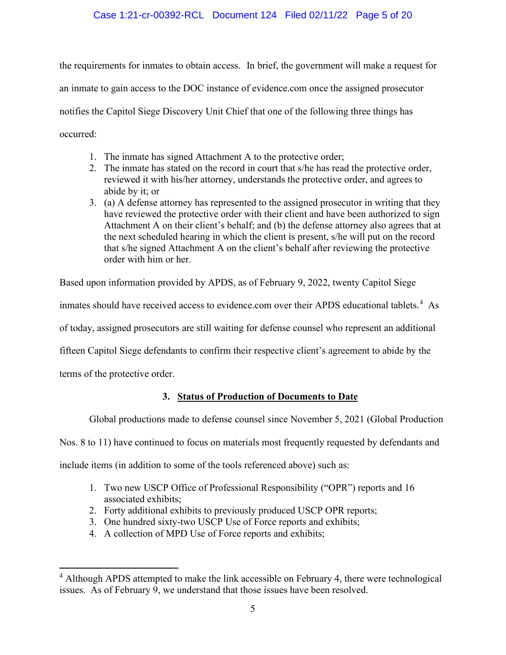# Case 1:21-cr-00392-RCL Document 124 Filed 02/11/22 Page 5 of 20

the requirements for inmates to obtain access. In brief, the government will make a request for an inmate to gain access to the DOC instance of evidence.com once the assigned prosecutor notifies the Capitol Siege Discovery Unit Chief that one of the following three things has occurred:

- 1. The inmate has signed Attachment A to the protective order;
- 2. The inmate has stated on the record in court that s/he has read the protective order, reviewed it with his/her attorney, understands the protective order, and agrees to abide by it; or
- 3. (a) A defense attorney has represented to the assigned prosecutor in writing that they have reviewed the protective order with their client and have been authorized to sign Attachment A on their client's behalf; and (b) the defense attorney also agrees that at the next scheduled hearing in which the client is present, s/he will put on the record that s/he signed Attachment A on the client's behalf after reviewing the protective order with him or her.

Based upon information provided by APDS, as of February 9, 2022, twenty Capitol Siege

inmates should have received access to evidence.com over their APDS educational tablets.<sup>[4](#page-4-1)</sup> As

of today, assigned prosecutors are still waiting for defense counsel who represent an additional

fifteen Capitol Siege defendants to confirm their respective client's agreement to abide by the

<span id="page-4-0"></span>terms of the protective order.

## **3. Status of Production of Documents to Date**

Global productions made to defense counsel since November 5, 2021 (Global Production

Nos. 8 to 11) have continued to focus on materials most frequently requested by defendants and

include items (in addition to some of the tools referenced above) such as:

- 1. Two new USCP Office of Professional Responsibility ("OPR") reports and 16 associated exhibits;
- 2. Forty additional exhibits to previously produced USCP OPR reports;
- 3. One hundred sixty-two USCP Use of Force reports and exhibits;
- 4. A collection of MPD Use of Force reports and exhibits;

<span id="page-4-1"></span><sup>&</sup>lt;sup>4</sup> Although APDS attempted to make the link accessible on February 4, there were technological issues. As of February 9, we understand that those issues have been resolved.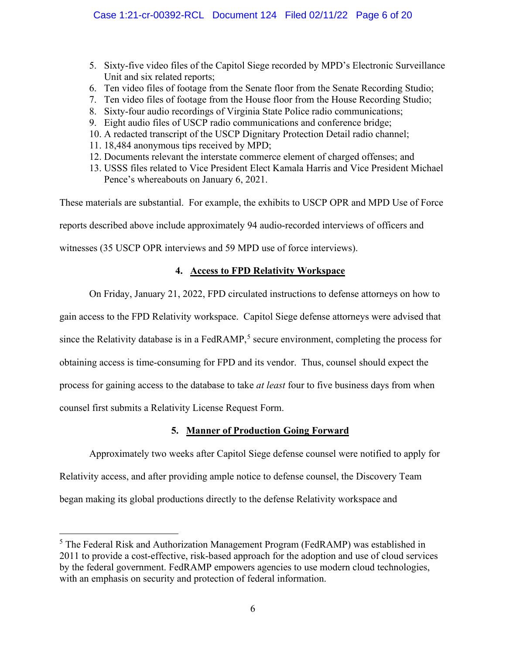- 5. Sixty-five video files of the Capitol Siege recorded by MPD's Electronic Surveillance Unit and six related reports;
- 6. Ten video files of footage from the Senate floor from the Senate Recording Studio;
- 7. Ten video files of footage from the House floor from the House Recording Studio;
- 8. Sixty-four audio recordings of Virginia State Police radio communications;
- 9. Eight audio files of USCP radio communications and conference bridge;
- 10. A redacted transcript of the USCP Dignitary Protection Detail radio channel;
- 11. 18,484 anonymous tips received by MPD;
- 12. Documents relevant the interstate commerce element of charged offenses; and
- 13. USSS files related to Vice President Elect Kamala Harris and Vice President Michael Pence's whereabouts on January 6, 2021.

These materials are substantial. For example, the exhibits to USCP OPR and MPD Use of Force

reports described above include approximately 94 audio-recorded interviews of officers and

<span id="page-5-0"></span>witnesses (35 USCP OPR interviews and 59 MPD use of force interviews).

# **4. Access to FPD Relativity Workspace**

On Friday, January 21, 2022, FPD circulated instructions to defense attorneys on how to

gain access to the FPD Relativity workspace. Capitol Siege defense attorneys were advised that

since the Relativity database is in a FedRAMP,<sup>[5](#page-5-2)</sup> secure environment, completing the process for

obtaining access is time-consuming for FPD and its vendor. Thus, counsel should expect the

process for gaining access to the database to take *at least* four to five business days from when

counsel first submits a Relativity License Request Form.

# **5. Manner of Production Going Forward**

<span id="page-5-1"></span>Approximately two weeks after Capitol Siege defense counsel were notified to apply for Relativity access, and after providing ample notice to defense counsel, the Discovery Team began making its global productions directly to the defense Relativity workspace and

<span id="page-5-2"></span><sup>&</sup>lt;sup>5</sup> The Federal Risk and Authorization Management Program (FedRAMP) was established in 2011 to provide a cost-effective, risk-based approach for the adoption and use of cloud services by the federal government. FedRAMP empowers agencies to use modern cloud technologies, with an emphasis on security and protection of federal information.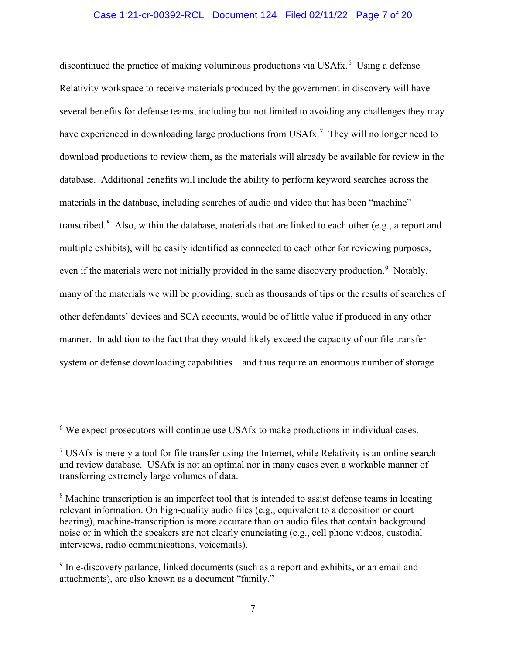## Case 1:21-cr-00392-RCL Document 124 Filed 02/11/22 Page 7 of 20

discontinued the practice of making voluminous productions via USAfx.<sup>[6](#page-6-0)</sup> Using a defense Relativity workspace to receive materials produced by the government in discovery will have several benefits for defense teams, including but not limited to avoiding any challenges they may have experienced in downloading large productions from USAfx.<sup>[7](#page-6-1)</sup> They will no longer need to download productions to review them, as the materials will already be available for review in the database. Additional benefits will include the ability to perform keyword searches across the materials in the database, including searches of audio and video that has been "machine" transcribed.<sup>[8](#page-6-2)</sup> Also, within the database, materials that are linked to each other (e.g., a report and multiple exhibits), will be easily identified as connected to each other for reviewing purposes, even if the materials were not initially provided in the same discovery production.<sup>[9](#page-6-3)</sup> Notably, many of the materials we will be providing, such as thousands of tips or the results of searches of other defendants' devices and SCA accounts, would be of little value if produced in any other manner. In addition to the fact that they would likely exceed the capacity of our file transfer system or defense downloading capabilities – and thus require an enormous number of storage

<span id="page-6-0"></span><sup>&</sup>lt;sup>6</sup> We expect prosecutors will continue use USAfx to make productions in individual cases.

<span id="page-6-1"></span> $<sup>7</sup>$  USAfx is merely a tool for file transfer using the Internet, while Relativity is an online search</sup> and review database. USAfx is not an optimal nor in many cases even a workable manner of transferring extremely large volumes of data.

<span id="page-6-2"></span><sup>&</sup>lt;sup>8</sup> Machine transcription is an imperfect tool that is intended to assist defense teams in locating relevant information. On high-quality audio files (e.g., equivalent to a deposition or court hearing), machine-transcription is more accurate than on audio files that contain background noise or in which the speakers are not clearly enunciating (e.g., cell phone videos, custodial interviews, radio communications, voicemails).

<span id="page-6-3"></span><sup>&</sup>lt;sup>9</sup> In e-discovery parlance, linked documents (such as a report and exhibits, or an email and attachments), are also known as a document "family."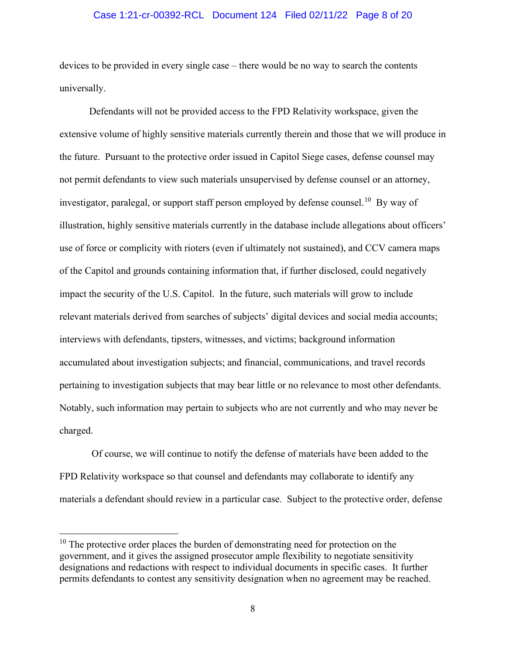## Case 1:21-cr-00392-RCL Document 124 Filed 02/11/22 Page 8 of 20

devices to be provided in every single case – there would be no way to search the contents universally.

Defendants will not be provided access to the FPD Relativity workspace, given the extensive volume of highly sensitive materials currently therein and those that we will produce in the future. Pursuant to the protective order issued in Capitol Siege cases, defense counsel may not permit defendants to view such materials unsupervised by defense counsel or an attorney, investigator, paralegal, or support staff person employed by defense counsel.<sup>[10](#page-7-0)</sup> By way of illustration, highly sensitive materials currently in the database include allegations about officers' use of force or complicity with rioters (even if ultimately not sustained), and CCV camera maps of the Capitol and grounds containing information that, if further disclosed, could negatively impact the security of the U.S. Capitol. In the future, such materials will grow to include relevant materials derived from searches of subjects' digital devices and social media accounts; interviews with defendants, tipsters, witnesses, and victims; background information accumulated about investigation subjects; and financial, communications, and travel records pertaining to investigation subjects that may bear little or no relevance to most other defendants. Notably, such information may pertain to subjects who are not currently and who may never be charged.

Of course, we will continue to notify the defense of materials have been added to the FPD Relativity workspace so that counsel and defendants may collaborate to identify any materials a defendant should review in a particular case. Subject to the protective order, defense

<span id="page-7-0"></span> $10$  The protective order places the burden of demonstrating need for protection on the government, and it gives the assigned prosecutor ample flexibility to negotiate sensitivity designations and redactions with respect to individual documents in specific cases. It further permits defendants to contest any sensitivity designation when no agreement may be reached.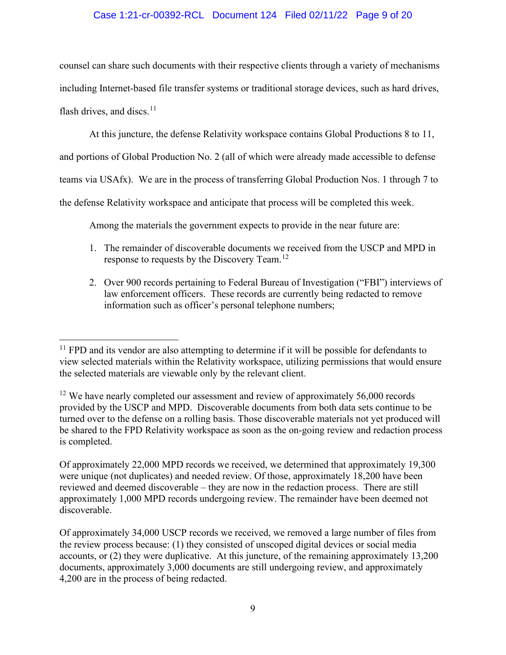# Case 1:21-cr-00392-RCL Document 124 Filed 02/11/22 Page 9 of 20

counsel can share such documents with their respective clients through a variety of mechanisms including Internet-based file transfer systems or traditional storage devices, such as hard drives, flash drives, and discs.<sup>11</sup>

At this juncture, the defense Relativity workspace contains Global Productions 8 to 11,

and portions of Global Production No. 2 (all of which were already made accessible to defense

teams via USAfx). We are in the process of transferring Global Production Nos. 1 through 7 to

the defense Relativity workspace and anticipate that process will be completed this week.

Among the materials the government expects to provide in the near future are:

- 1. The remainder of discoverable documents we received from the USCP and MPD in response to requests by the Discovery Team.<sup>[12](#page-8-1)</sup>
- 2. Over 900 records pertaining to Federal Bureau of Investigation ("FBI") interviews of law enforcement officers. These records are currently being redacted to remove information such as officer's personal telephone numbers;

<span id="page-8-0"></span> $11$  FPD and its vendor are also attempting to determine if it will be possible for defendants to view selected materials within the Relativity workspace, utilizing permissions that would ensure the selected materials are viewable only by the relevant client.

<span id="page-8-1"></span> $12$  We have nearly completed our assessment and review of approximately 56,000 records provided by the USCP and MPD. Discoverable documents from both data sets continue to be turned over to the defense on a rolling basis. Those discoverable materials not yet produced will be shared to the FPD Relativity workspace as soon as the on-going review and redaction process is completed.

Of approximately 22,000 MPD records we received, we determined that approximately 19,300 were unique (not duplicates) and needed review. Of those, approximately 18,200 have been reviewed and deemed discoverable – they are now in the redaction process. There are still approximately 1,000 MPD records undergoing review. The remainder have been deemed not discoverable.

Of approximately 34,000 USCP records we received, we removed a large number of files from the review process because: (1) they consisted of unscoped digital devices or social media accounts, or (2) they were duplicative. At this juncture, of the remaining approximately 13,200 documents, approximately 3,000 documents are still undergoing review, and approximately 4,200 are in the process of being redacted.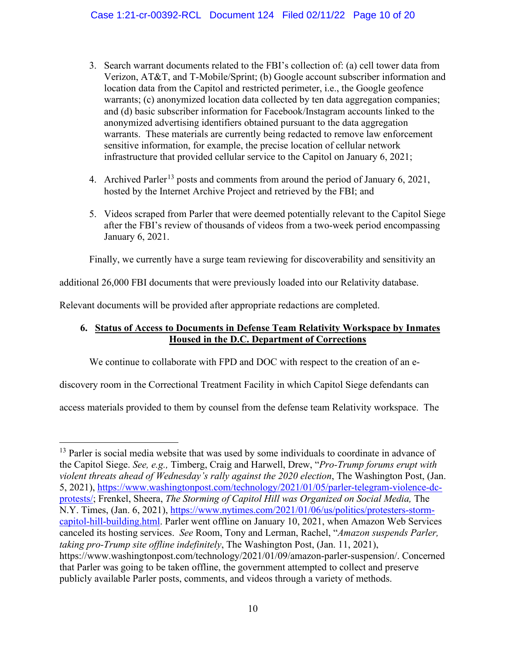- 3. Search warrant documents related to the FBI's collection of: (a) cell tower data from Verizon, AT&T, and T-Mobile/Sprint; (b) Google account subscriber information and location data from the Capitol and restricted perimeter, i.e., the Google geofence warrants; (c) anonymized location data collected by ten data aggregation companies; and (d) basic subscriber information for Facebook/Instagram accounts linked to the anonymized advertising identifiers obtained pursuant to the data aggregation warrants. These materials are currently being redacted to remove law enforcement sensitive information, for example, the precise location of cellular network infrastructure that provided cellular service to the Capitol on January 6, 2021;
- 4. Archived Parler<sup>[13](#page-9-1)</sup> posts and comments from around the period of January 6, 2021, hosted by the Internet Archive Project and retrieved by the FBI; and
- 5. Videos scraped from Parler that were deemed potentially relevant to the Capitol Siege after the FBI's review of thousands of videos from a two-week period encompassing January 6, 2021.

Finally, we currently have a surge team reviewing for discoverability and sensitivity an

additional 26,000 FBI documents that were previously loaded into our Relativity database.

Relevant documents will be provided after appropriate redactions are completed.

# <span id="page-9-0"></span>**6. Status of Access to Documents in Defense Team Relativity Workspace by Inmates Housed in the D.C. Department of Corrections**

We continue to collaborate with FPD and DOC with respect to the creation of an e-

discovery room in the Correctional Treatment Facility in which Capitol Siege defendants can

access materials provided to them by counsel from the defense team Relativity workspace. The

<span id="page-9-1"></span><sup>&</sup>lt;sup>13</sup> Parler is social media website that was used by some individuals to coordinate in advance of the Capitol Siege. *See, e.g.,* Timberg, Craig and Harwell, Drew, "*Pro-Trump forums erupt with violent threats ahead of Wednesday's rally against the 2020 election*, The Washington Post, (Jan. 5, 2021), [https://www.washingtonpost.com/technology/2021/01/05/parler-telegram-violence-dc](https://www.washingtonpost.com/technology/2021/01/05/parler-telegram-violence-dc-protests/)[protests/;](https://www.washingtonpost.com/technology/2021/01/05/parler-telegram-violence-dc-protests/) Frenkel, Sheera, *The Storming of Capitol Hill was Organized on Social Media,* The N.Y. Times, (Jan. 6, 2021), [https://www.nytimes.com/2021/01/06/us/politics/protesters-storm](https://www.nytimes.com/2021/01/06/us/politics/protesters-storm-capitol-hill-building.html)[capitol-hill-building.html.](https://www.nytimes.com/2021/01/06/us/politics/protesters-storm-capitol-hill-building.html) Parler went offline on January 10, 2021, when Amazon Web Services canceled its hosting services. *See* Room, Tony and Lerman, Rachel, "*Amazon suspends Parler, taking pro-Trump site offline indefinitely*, The Washington Post, (Jan. 11, 2021), https://www.washingtonpost.com/technology/2021/01/09/amazon-parler-suspension/. Concerned that Parler was going to be taken offline, the government attempted to collect and preserve publicly available Parler posts, comments, and videos through a variety of methods.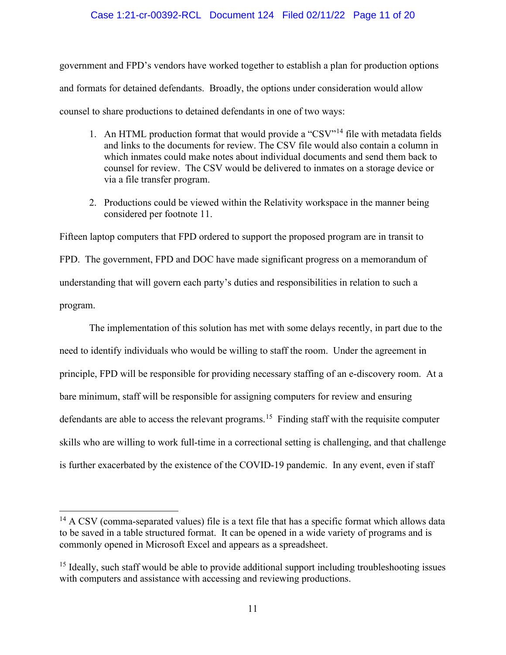## Case 1:21-cr-00392-RCL Document 124 Filed 02/11/22 Page 11 of 20

government and FPD's vendors have worked together to establish a plan for production options and formats for detained defendants. Broadly, the options under consideration would allow counsel to share productions to detained defendants in one of two ways:

- 1. An HTML production format that would provide a "CSV"<sup>[14](#page-10-0)</sup> file with metadata fields and links to the documents for review. The CSV file would also contain a column in which inmates could make notes about individual documents and send them back to counsel for review. The CSV would be delivered to inmates on a storage device or via a file transfer program.
- 2. Productions could be viewed within the Relativity workspace in the manner being considered per footnote 11.

Fifteen laptop computers that FPD ordered to support the proposed program are in transit to FPD. The government, FPD and DOC have made significant progress on a memorandum of understanding that will govern each party's duties and responsibilities in relation to such a program.

The implementation of this solution has met with some delays recently, in part due to the need to identify individuals who would be willing to staff the room. Under the agreement in principle, FPD will be responsible for providing necessary staffing of an e-discovery room. At a bare minimum, staff will be responsible for assigning computers for review and ensuring defendants are able to access the relevant programs.<sup>15</sup> Finding staff with the requisite computer skills who are willing to work full-time in a correctional setting is challenging, and that challenge is further exacerbated by the existence of the COVID-19 pandemic. In any event, even if staff

<span id="page-10-0"></span><sup>&</sup>lt;sup>14</sup> A CSV (comma-separated values) file is a text file that has a specific format which allows data to be saved in a table structured format. It can be opened in a wide variety of programs and is commonly opened in Microsoft Excel and appears as a spreadsheet.

<span id="page-10-1"></span> $15$  Ideally, such staff would be able to provide additional support including troubleshooting issues with computers and assistance with accessing and reviewing productions.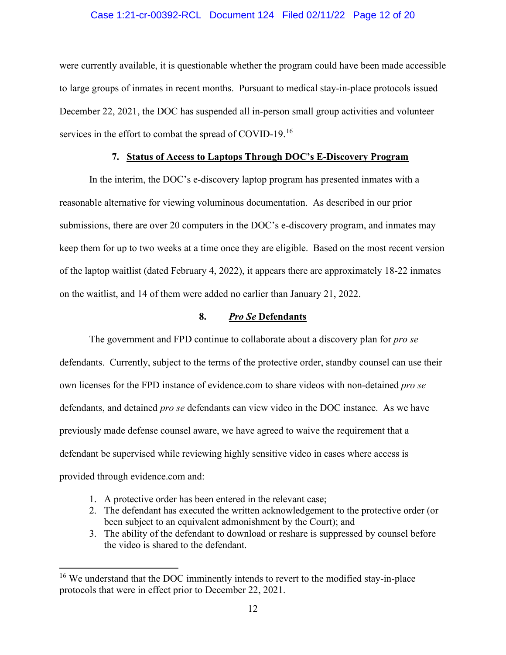## Case 1:21-cr-00392-RCL Document 124 Filed 02/11/22 Page 12 of 20

were currently available, it is questionable whether the program could have been made accessible to large groups of inmates in recent months. Pursuant to medical stay-in-place protocols issued December 22, 2021, the DOC has suspended all in-person small group activities and volunteer services in the effort to combat the spread of COVID-19.<sup>[16](#page-11-2)</sup>

## **7. Status of Access to Laptops Through DOC's E-Discovery Program**

<span id="page-11-0"></span>In the interim, the DOC's e-discovery laptop program has presented inmates with a reasonable alternative for viewing voluminous documentation. As described in our prior submissions, there are over 20 computers in the DOC's e-discovery program, and inmates may keep them for up to two weeks at a time once they are eligible. Based on the most recent version of the laptop waitlist (dated February 4, 2022), it appears there are approximately 18-22 inmates on the waitlist, and 14 of them were added no earlier than January 21, 2022.

## **8.** *Pro Se* **Defendants**

<span id="page-11-1"></span>The government and FPD continue to collaborate about a discovery plan for *pro se*  defendants. Currently, subject to the terms of the protective order, standby counsel can use their own licenses for the FPD instance of evidence.com to share videos with non-detained *pro se*  defendants, and detained *pro se* defendants can view video in the DOC instance. As we have previously made defense counsel aware, we have agreed to waive the requirement that a defendant be supervised while reviewing highly sensitive video in cases where access is provided through evidence.com and:

- 1. A protective order has been entered in the relevant case;
- 2. The defendant has executed the written acknowledgement to the protective order (or been subject to an equivalent admonishment by the Court); and
- 3. The ability of the defendant to download or reshare is suppressed by counsel before the video is shared to the defendant.

<span id="page-11-2"></span><sup>&</sup>lt;sup>16</sup> We understand that the DOC imminently intends to revert to the modified stay-in-place protocols that were in effect prior to December 22, 2021.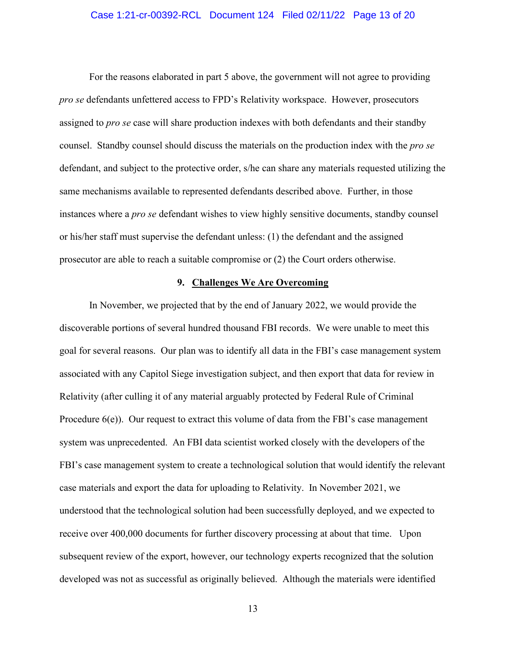## Case 1:21-cr-00392-RCL Document 124 Filed 02/11/22 Page 13 of 20

For the reasons elaborated in part 5 above, the government will not agree to providing *pro se* defendants unfettered access to FPD's Relativity workspace. However, prosecutors assigned to *pro se* case will share production indexes with both defendants and their standby counsel. Standby counsel should discuss the materials on the production index with the *pro se*  defendant, and subject to the protective order, s/he can share any materials requested utilizing the same mechanisms available to represented defendants described above. Further, in those instances where a *pro se* defendant wishes to view highly sensitive documents, standby counsel or his/her staff must supervise the defendant unless: (1) the defendant and the assigned prosecutor are able to reach a suitable compromise or (2) the Court orders otherwise.

#### **9. Challenges We Are Overcoming**

<span id="page-12-0"></span>In November, we projected that by the end of January 2022, we would provide the discoverable portions of several hundred thousand FBI records. We were unable to meet this goal for several reasons. Our plan was to identify all data in the FBI's case management system associated with any Capitol Siege investigation subject, and then export that data for review in Relativity (after culling it of any material arguably protected by Federal Rule of Criminal Procedure 6(e)). Our request to extract this volume of data from the FBI's case management system was unprecedented. An FBI data scientist worked closely with the developers of the FBI's case management system to create a technological solution that would identify the relevant case materials and export the data for uploading to Relativity. In November 2021, we understood that the technological solution had been successfully deployed, and we expected to receive over 400,000 documents for further discovery processing at about that time. Upon subsequent review of the export, however, our technology experts recognized that the solution developed was not as successful as originally believed. Although the materials were identified

13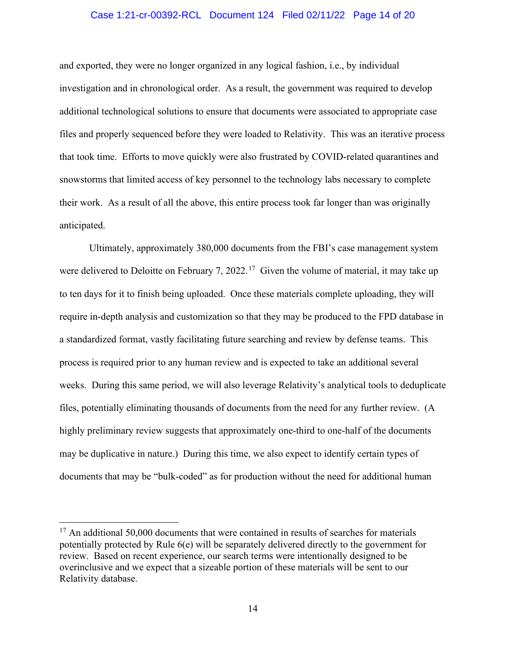## Case 1:21-cr-00392-RCL Document 124 Filed 02/11/22 Page 14 of 20

and exported, they were no longer organized in any logical fashion, i.e., by individual investigation and in chronological order. As a result, the government was required to develop additional technological solutions to ensure that documents were associated to appropriate case files and properly sequenced before they were loaded to Relativity. This was an iterative process that took time. Efforts to move quickly were also frustrated by COVID-related quarantines and snowstorms that limited access of key personnel to the technology labs necessary to complete their work. As a result of all the above, this entire process took far longer than was originally anticipated.

Ultimately, approximately 380,000 documents from the FBI's case management system were delivered to Deloitte on February 7, 2022.<sup>[17](#page-13-0)</sup> Given the volume of material, it may take up to ten days for it to finish being uploaded. Once these materials complete uploading, they will require in-depth analysis and customization so that they may be produced to the FPD database in a standardized format, vastly facilitating future searching and review by defense teams. This process is required prior to any human review and is expected to take an additional several weeks. During this same period, we will also leverage Relativity's analytical tools to deduplicate files, potentially eliminating thousands of documents from the need for any further review. (A highly preliminary review suggests that approximately one-third to one-half of the documents may be duplicative in nature.) During this time, we also expect to identify certain types of documents that may be "bulk-coded" as for production without the need for additional human

<span id="page-13-0"></span> $17$  An additional 50,000 documents that were contained in results of searches for materials potentially protected by Rule 6(e) will be separately delivered directly to the government for review. Based on recent experience, our search terms were intentionally designed to be overinclusive and we expect that a sizeable portion of these materials will be sent to our Relativity database.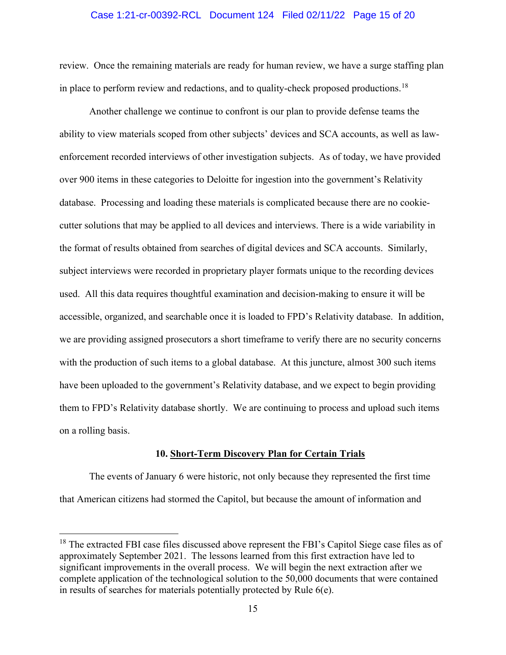#### Case 1:21-cr-00392-RCL Document 124 Filed 02/11/22 Page 15 of 20

review. Once the remaining materials are ready for human review, we have a surge staffing plan in place to perform review and redactions, and to quality-check proposed productions.<sup>[18](#page-14-1)</sup>

Another challenge we continue to confront is our plan to provide defense teams the ability to view materials scoped from other subjects' devices and SCA accounts, as well as lawenforcement recorded interviews of other investigation subjects. As of today, we have provided over 900 items in these categories to Deloitte for ingestion into the government's Relativity database. Processing and loading these materials is complicated because there are no cookiecutter solutions that may be applied to all devices and interviews. There is a wide variability in the format of results obtained from searches of digital devices and SCA accounts. Similarly, subject interviews were recorded in proprietary player formats unique to the recording devices used. All this data requires thoughtful examination and decision-making to ensure it will be accessible, organized, and searchable once it is loaded to FPD's Relativity database. In addition, we are providing assigned prosecutors a short timeframe to verify there are no security concerns with the production of such items to a global database. At this juncture, almost 300 such items have been uploaded to the government's Relativity database, and we expect to begin providing them to FPD's Relativity database shortly. We are continuing to process and upload such items on a rolling basis.

#### **10. Short-Term Discovery Plan for Certain Trials**

<span id="page-14-0"></span>The events of January 6 were historic, not only because they represented the first time that American citizens had stormed the Capitol, but because the amount of information and

<span id="page-14-1"></span><sup>&</sup>lt;sup>18</sup> The extracted FBI case files discussed above represent the FBI's Capitol Siege case files as of approximately September 2021. The lessons learned from this first extraction have led to significant improvements in the overall process. We will begin the next extraction after we complete application of the technological solution to the 50,000 documents that were contained in results of searches for materials potentially protected by Rule 6(e).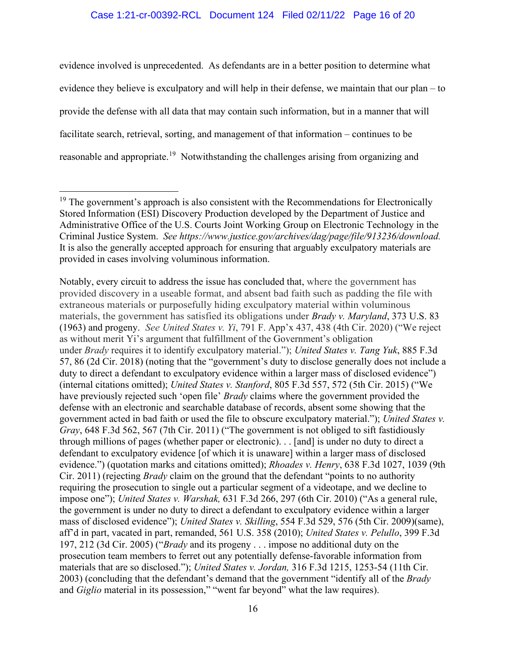## Case 1:21-cr-00392-RCL Document 124 Filed 02/11/22 Page 16 of 20

evidence involved is unprecedented. As defendants are in a better position to determine what evidence they believe is exculpatory and will help in their defense, we maintain that our plan – to provide the defense with all data that may contain such information, but in a manner that will facilitate search, retrieval, sorting, and management of that information – continues to be reasonable and appropriate.<sup>[19](#page-15-0)</sup> Notwithstanding the challenges arising from organizing and

<span id="page-15-0"></span><sup>&</sup>lt;sup>19</sup> The government's approach is also consistent with the Recommendations for Electronically Stored Information (ESI) Discovery Production developed by the Department of Justice and Administrative Office of the U.S. Courts Joint Working Group on Electronic Technology in the Criminal Justice System. *See https://www.justice.gov/archives/dag/page/file/913236/download.* It is also the generally accepted approach for ensuring that arguably exculpatory materials are provided in cases involving voluminous information.

Notably, every circuit to address the issue has concluded that, where the government has provided discovery in a useable format, and absent bad faith such as padding the file with extraneous materials or purposefully hiding exculpatory material within voluminous materials, the government has satisfied its obligations under *Brady v. Maryland*, 373 U.S. 83 (1963) and progeny. *See United States v. Yi*, 791 F. App'x 437, 438 (4th Cir. 2020) ("We reject as without merit Yi's argument that fulfillment of the Government's obligation under *Brady* requires it to identify exculpatory material."); *United States v. Tang Yuk*, 885 F.3d 57, 86 (2d Cir. 2018) (noting that the "government's duty to disclose generally does not include a duty to direct a defendant to exculpatory evidence within a larger mass of disclosed evidence") (internal citations omitted); *United States v. Stanford*, 805 F.3d 557, 572 (5th Cir. 2015) ("We have previously rejected such 'open file' *Brady* claims where the government provided the defense with an electronic and searchable database of records, absent some showing that the government acted in bad faith or used the file to obscure exculpatory material."); *United States v. Gray*, 648 F.3d 562, 567 (7th Cir. 2011) ("The government is not obliged to sift fastidiously through millions of pages (whether paper or electronic). . . [and] is under no duty to direct a defendant to exculpatory evidence [of which it is unaware] within a larger mass of disclosed evidence.") (quotation marks and citations omitted); *Rhoades v. Henry*, 638 F.3d 1027, 1039 (9th Cir. 2011) (rejecting *Brady* claim on the ground that the defendant "points to no authority requiring the prosecution to single out a particular segment of a videotape, and we decline to impose one"); *United States v. Warshak,* 631 F.3d 266, 297 (6th Cir. 2010) ("As a general rule, the government is under no duty to direct a defendant to exculpatory evidence within a larger mass of disclosed evidence"); *United States v. Skilling*, 554 F.3d 529, 576 (5th Cir. 2009)(same), aff'd in part, vacated in part, remanded, 561 U.S. 358 (2010); *United States v. Pelullo*, 399 F.3d 197, 212 (3d Cir. 2005) ("*Brady* and its progeny . . . impose no additional duty on the prosecution team members to ferret out any potentially defense-favorable information from materials that are so disclosed."); *United States v. Jordan,* 316 F.3d 1215, 1253-54 (11th Cir. 2003) (concluding that the defendant's demand that the government "identify all of the *Brady*  and *Giglio* material in its possession," "went far beyond" what the law requires).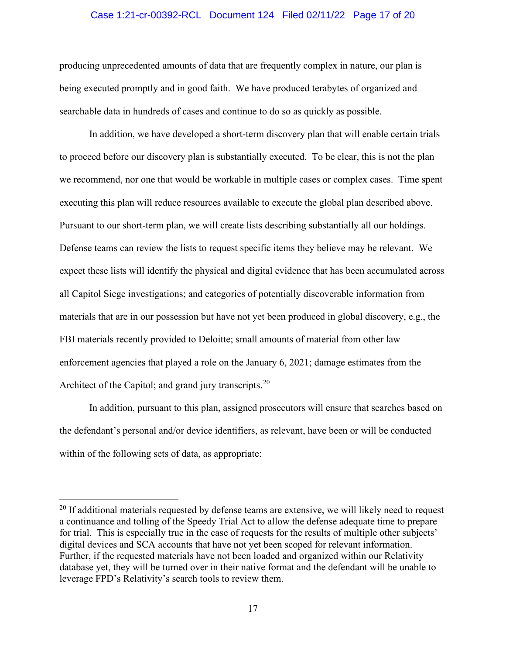## Case 1:21-cr-00392-RCL Document 124 Filed 02/11/22 Page 17 of 20

producing unprecedented amounts of data that are frequently complex in nature, our plan is being executed promptly and in good faith. We have produced terabytes of organized and searchable data in hundreds of cases and continue to do so as quickly as possible.

In addition, we have developed a short-term discovery plan that will enable certain trials to proceed before our discovery plan is substantially executed. To be clear, this is not the plan we recommend, nor one that would be workable in multiple cases or complex cases. Time spent executing this plan will reduce resources available to execute the global plan described above. Pursuant to our short-term plan, we will create lists describing substantially all our holdings. Defense teams can review the lists to request specific items they believe may be relevant. We expect these lists will identify the physical and digital evidence that has been accumulated across all Capitol Siege investigations; and categories of potentially discoverable information from materials that are in our possession but have not yet been produced in global discovery, e.g., the FBI materials recently provided to Deloitte; small amounts of material from other law enforcement agencies that played a role on the January 6, 2021; damage estimates from the Architect of the Capitol; and grand jury transcripts.<sup>[20](#page-16-0)</sup>

In addition, pursuant to this plan, assigned prosecutors will ensure that searches based on the defendant's personal and/or device identifiers, as relevant, have been or will be conducted within of the following sets of data, as appropriate:

<span id="page-16-0"></span><sup>&</sup>lt;sup>20</sup> If additional materials requested by defense teams are extensive, we will likely need to request a continuance and tolling of the Speedy Trial Act to allow the defense adequate time to prepare for trial. This is especially true in the case of requests for the results of multiple other subjects' digital devices and SCA accounts that have not yet been scoped for relevant information. Further, if the requested materials have not been loaded and organized within our Relativity database yet, they will be turned over in their native format and the defendant will be unable to leverage FPD's Relativity's search tools to review them.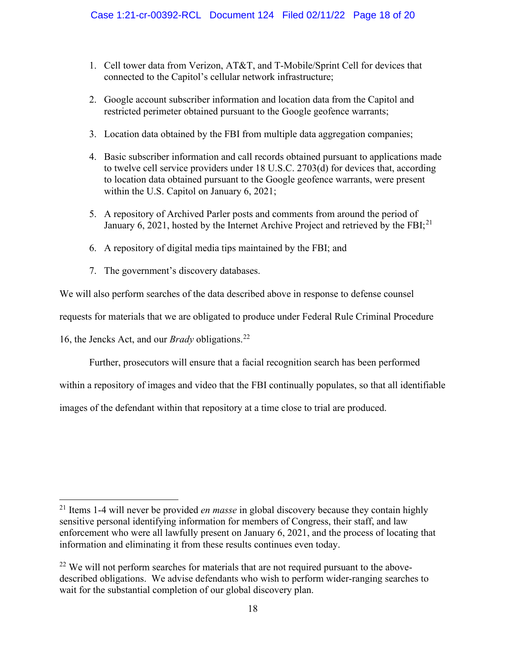- 1. Cell tower data from Verizon, AT&T, and T-Mobile/Sprint Cell for devices that connected to the Capitol's cellular network infrastructure;
- 2. Google account subscriber information and location data from the Capitol and restricted perimeter obtained pursuant to the Google geofence warrants;
- 3. Location data obtained by the FBI from multiple data aggregation companies;
- 4. Basic subscriber information and call records obtained pursuant to applications made to twelve cell service providers under 18 U.S.C. 2703(d) for devices that, according to location data obtained pursuant to the Google geofence warrants, were present within the U.S. Capitol on January 6, 2021;
- 5. A repository of Archived Parler posts and comments from around the period of January 6, 20[21](#page-17-0), hosted by the Internet Archive Project and retrieved by the FBI; $^{21}$
- 6. A repository of digital media tips maintained by the FBI; and
- 7. The government's discovery databases.

We will also perform searches of the data described above in response to defense counsel

requests for materials that we are obligated to produce under Federal Rule Criminal Procedure

16, the Jencks Act, and our *Brady* obligations.[22](#page-17-1) 

Further, prosecutors will ensure that a facial recognition search has been performed

within a repository of images and video that the FBI continually populates, so that all identifiable

images of the defendant within that repository at a time close to trial are produced.

<span id="page-17-0"></span><sup>21</sup> Items 1-4 will never be provided *en masse* in global discovery because they contain highly sensitive personal identifying information for members of Congress, their staff, and law enforcement who were all lawfully present on January 6, 2021, and the process of locating that information and eliminating it from these results continues even today.

<span id="page-17-1"></span> $22$  We will not perform searches for materials that are not required pursuant to the abovedescribed obligations. We advise defendants who wish to perform wider-ranging searches to wait for the substantial completion of our global discovery plan.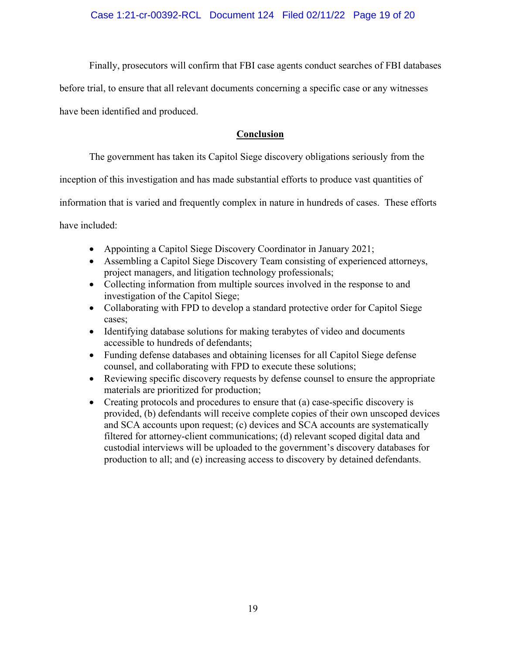Finally, prosecutors will confirm that FBI case agents conduct searches of FBI databases

before trial, to ensure that all relevant documents concerning a specific case or any witnesses

have been identified and produced.

# **Conclusion**

The government has taken its Capitol Siege discovery obligations seriously from the

inception of this investigation and has made substantial efforts to produce vast quantities of

information that is varied and frequently complex in nature in hundreds of cases. These efforts

have included:

- Appointing a Capitol Siege Discovery Coordinator in January 2021;
- Assembling a Capitol Siege Discovery Team consisting of experienced attorneys, project managers, and litigation technology professionals;
- Collecting information from multiple sources involved in the response to and investigation of the Capitol Siege;
- Collaborating with FPD to develop a standard protective order for Capitol Siege cases;
- Identifying database solutions for making terabytes of video and documents accessible to hundreds of defendants;
- Funding defense databases and obtaining licenses for all Capitol Siege defense counsel, and collaborating with FPD to execute these solutions;
- Reviewing specific discovery requests by defense counsel to ensure the appropriate materials are prioritized for production;
- Creating protocols and procedures to ensure that (a) case-specific discovery is provided, (b) defendants will receive complete copies of their own unscoped devices and SCA accounts upon request; (c) devices and SCA accounts are systematically filtered for attorney-client communications; (d) relevant scoped digital data and custodial interviews will be uploaded to the government's discovery databases for production to all; and (e) increasing access to discovery by detained defendants.